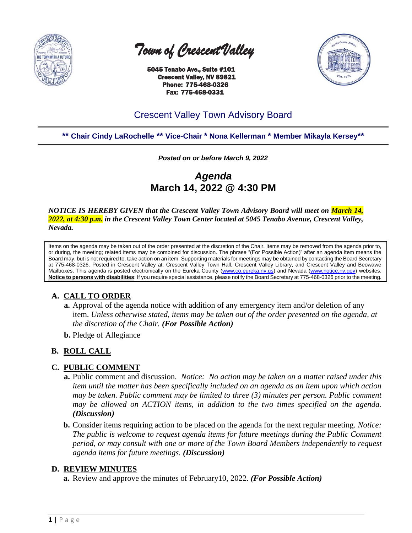

 *Town of Crescent Valley* 

 5045 Tenabo Ave., Suite #101 Crescent Valley, NV 89821 Phone: 775-468-0326 Fax: 775-468-0331



# Crescent Valley Town Advisory Board

**\*\* Chair Cindy LaRochelle \*\* Vice-Chair \* Nona Kellerman \* Member Mikayla Kersey\*\***

*Posted on or before March 9, 2022*

*Agenda* **March 14, 2022 @ 4:30 PM**

*NOTICE IS HEREBY GIVEN that the Crescent Valley Town Advisory Board will meet on March 14, 2022, at 4:30 p.m. in the Crescent Valley Town Center located at 5045 Tenabo Avenue, Crescent Valley, Nevada.* 

Items on the agenda may be taken out of the order presented at the discretion of the Chair. Items may be removed from the agenda prior to, or during, the meeting; related items may be combined for discussion. The phrase "(For Possible Action)" after an agenda item means the Board may, but is not required to, take action on an item. Supporting materials for meetings may be obtained by contacting the Board Secretary at 775-468-0326. Posted in Crescent Valley at: Crescent Valley Town Hall, Crescent Valley Library, and Crescent Valley and Beowawe Mailboxes. This agenda is posted electronically on the Eureka County [\(www.co.eureka.nv.us\)](http://www.co.eureka.nv.us/) and Nevada [\(www.notice.nv.gov\)](http://www.notice.nv.gov/) websites. **Notice to persons with disabilities**: If you require special assistance, please notify the Board Secretary at 775-468-0326 prior to the meeting.

## **A. CALL TO ORDER**

- **a.** Approval of the agenda notice with addition of any emergency item and/or deletion of any item. *Unless otherwise stated, items may be taken out of the order presented on the agenda, at the discretion of the Chair. (For Possible Action)*
- **b.** Pledge of Allegiance

## **B. ROLL CALL**

#### **C. PUBLIC COMMENT**

- **a.** Public comment and discussion. *Notice: No action may be taken on a matter raised under this item until the matter has been specifically included on an agenda as an item upon which action may be taken. Public comment may be limited to three (3) minutes per person. Public comment may be allowed on ACTION items, in addition to the two times specified on the agenda. (Discussion)*
- **b.** Consider items requiring action to be placed on the agenda for the next regular meeting. *Notice: The public is welcome to request agenda items for future meetings during the Public Comment period, or may consult with one or more of the Town Board Members independently to request agenda items for future meetings. (Discussion)*

## **D. REVIEW MINUTES**

**a.** Review and approve the minutes of February10, 2022. *(For Possible Action)*